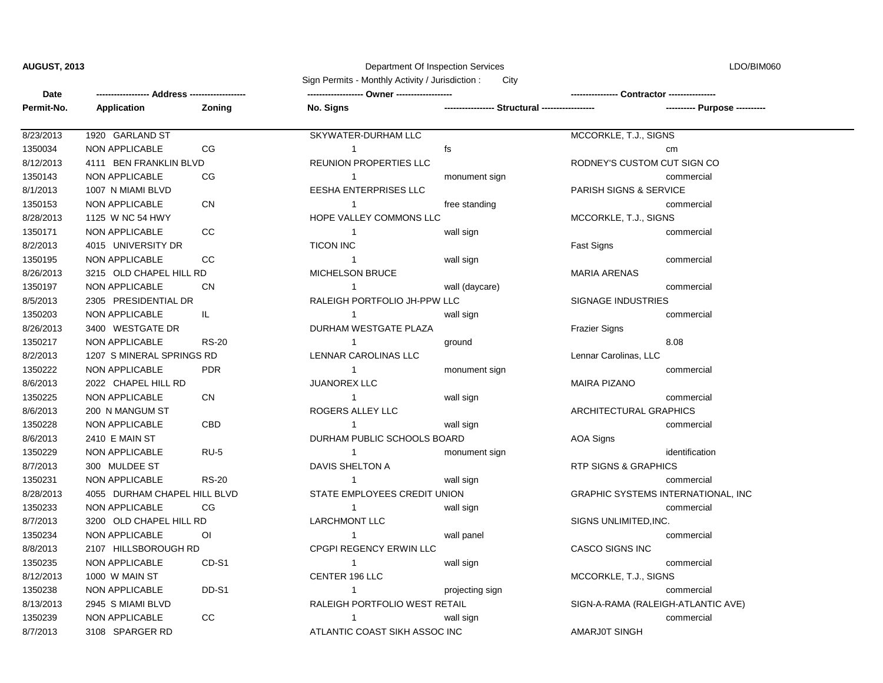## **AUGUST, 2013** Department Of Inspection Services

LDO/BIM060

| Date       | Address -                    |                | City<br>Sign Permits - Monthly Activity / Jurisdiction: |                            | Contractor --                      |  |
|------------|------------------------------|----------------|---------------------------------------------------------|----------------------------|------------------------------------|--|
| Permit-No. | <b>Application</b>           | Zoning         | No. Signs                                               | - Structural ------------- |                                    |  |
| 8/23/2013  | 1920 GARLAND ST              |                | SKYWATER-DURHAM LLC                                     |                            | MCCORKLE, T.J., SIGNS              |  |
| 1350034    | NON APPLICABLE               | CG             | $\mathbf{1}$                                            | fs                         | cm                                 |  |
| 8/12/2013  | 4111 BEN FRANKLIN BLVD       |                | <b>REUNION PROPERTIES LLC</b>                           |                            | RODNEY'S CUSTOM CUT SIGN CO        |  |
| 1350143    | <b>NON APPLICABLE</b>        | CG             | $\mathbf{1}$                                            | monument sign              | commercial                         |  |
| 8/1/2013   | 1007 N MIAMI BLVD            |                | <b>EESHA ENTERPRISES LLC</b>                            |                            | PARISH SIGNS & SERVICE             |  |
| 1350153    | NON APPLICABLE               | <b>CN</b>      | -1                                                      | free standing              | commercial                         |  |
| 8/28/2013  | 1125 W NC 54 HWY             |                | HOPE VALLEY COMMONS LLC                                 |                            | MCCORKLE, T.J., SIGNS              |  |
| 1350171    | NON APPLICABLE               | CC             | $\mathbf 1$                                             | wall sign                  | commercial                         |  |
| 8/2/2013   | 4015 UNIVERSITY DR           |                | <b>TICON INC</b>                                        |                            | Fast Signs                         |  |
| 1350195    | <b>NON APPLICABLE</b>        | CC             | $\mathbf{1}$                                            | wall sign                  | commercial                         |  |
| 8/26/2013  | 3215 OLD CHAPEL HILL RD      |                | MICHELSON BRUCE                                         |                            | <b>MARIA ARENAS</b>                |  |
| 1350197    | NON APPLICABLE               | <b>CN</b>      | 1                                                       | wall (daycare)             | commercial                         |  |
| 8/5/2013   | 2305 PRESIDENTIAL DR         |                | RALEIGH PORTFOLIO JH-PPW LLC                            |                            | SIGNAGE INDUSTRIES                 |  |
| 1350203    | NON APPLICABLE               | IL.            | $\mathbf{1}$                                            | wall sign                  | commercial                         |  |
| 8/26/2013  | 3400 WESTGATE DR             |                | DURHAM WESTGATE PLAZA                                   |                            | Frazier Signs                      |  |
| 1350217    | <b>NON APPLICABLE</b>        | <b>RS-20</b>   | $\mathbf{1}$                                            | ground                     | 8.08                               |  |
| 8/2/2013   | 1207 S MINERAL SPRINGS RD    |                | LENNAR CAROLINAS LLC                                    |                            | Lennar Carolinas, LLC              |  |
| 1350222    | <b>NON APPLICABLE</b>        | <b>PDR</b>     | 1                                                       | monument sign              | commercial                         |  |
| 8/6/2013   | 2022 CHAPEL HILL RD          |                | <b>JUANOREX LLC</b>                                     |                            | MAIRA PIZANO                       |  |
| 1350225    | NON APPLICABLE               | <b>CN</b>      | $\mathbf{1}$                                            | wall sign                  | commercial                         |  |
| 8/6/2013   | 200 N MANGUM ST              |                | ROGERS ALLEY LLC                                        |                            | ARCHITECTURAL GRAPHICS             |  |
| 1350228    | NON APPLICABLE               | CBD            | $\mathbf{1}$                                            | wall sign                  | commercial                         |  |
| 8/6/2013   | 2410 E MAIN ST               |                | DURHAM PUBLIC SCHOOLS BOARD                             |                            | <b>AOA Signs</b>                   |  |
| 1350229    | NON APPLICABLE               | <b>RU-5</b>    | $\mathbf{1}$                                            | monument sign              | identification                     |  |
| 8/7/2013   | 300 MULDEE ST                |                | DAVIS SHELTON A                                         |                            | RTP SIGNS & GRAPHICS               |  |
| 1350231    | <b>NON APPLICABLE</b>        | <b>RS-20</b>   | $\mathbf{1}$                                            | wall sign                  | commercial                         |  |
| 8/28/2013  | 4055 DURHAM CHAPEL HILL BLVD |                | STATE EMPLOYEES CREDIT UNION                            |                            | GRAPHIC SYSTEMS INTERNATIONAL, INC |  |
| 1350233    | NON APPLICABLE               | CG             | $\mathbf{1}$                                            | wall sign                  | commercial                         |  |
| 8/7/2013   | 3200 OLD CHAPEL HILL RD      |                | <b>LARCHMONT LLC</b>                                    |                            | SIGNS UNLIMITED,INC.               |  |
| 1350234    | <b>NON APPLICABLE</b>        | O <sub>1</sub> | $\mathbf{1}$                                            | wall panel                 | commercial                         |  |
| 8/8/2013   | 2107 HILLSBOROUGH RD         |                | <b>CPGPI REGENCY ERWIN LLC</b>                          |                            | CASCO SIGNS INC                    |  |
| 1350235    | NON APPLICABLE               | CD-S1          | -1                                                      | wall sign                  | commercial                         |  |
| 8/12/2013  | 1000 W MAIN ST               |                | CENTER 196 LLC                                          |                            | MCCORKLE, T.J., SIGNS              |  |
| 1350238    | NON APPLICABLE               | DD-S1          | $\mathbf{1}$                                            | projecting sign            | commercial                         |  |
| 8/13/2013  | 2945 S MIAMI BLVD            |                | RALEIGH PORTFOLIO WEST RETAIL                           |                            | SIGN-A-RAMA (RALEIGH-ATLANTIC AVE) |  |
| 1350239    | <b>NON APPLICABLE</b>        | CC             | 1                                                       | wall sign                  | commercial                         |  |
| 8/7/2013   | 3108 SPARGER RD              |                | ATLANTIC COAST SIKH ASSOC INC                           |                            | AMARJ0T SINGH                      |  |